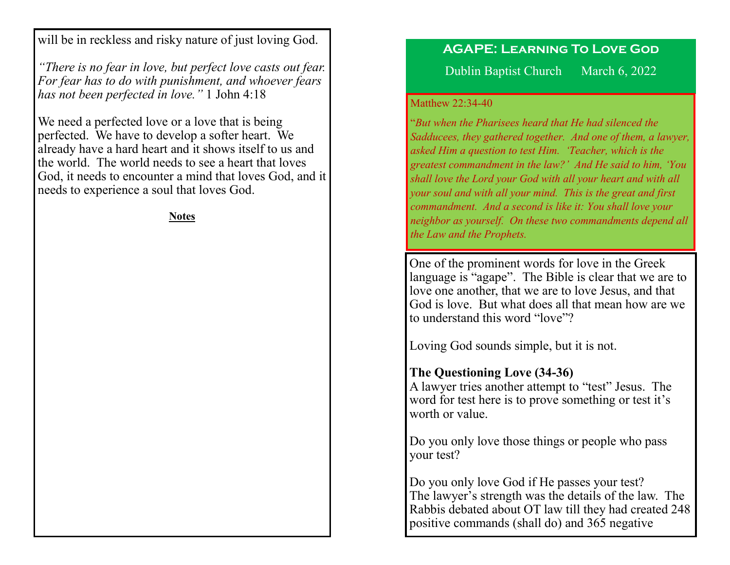will be in reckless and risky nature of just loving God.

*"There is no fear in love, but perfect love casts out fear. For fear has to do with punishment, and whoever fears has not been perfected in love."* 1 John 4:18

We need a perfected love or a love that is being perfected. We have to develop a softer heart. We already have a hard heart and it shows itself to us and the world. The world needs to see a heart that loves God, it needs to encounter a mind that loves God, and it needs to experience a soul that loves God.

**Notes**

#### **AGAPE: Learning To Love God**

Dublin Baptist Church March 6, 2022

#### Matthew 22:34-40

"*But when the Pharisees heard that He had silenced the Sadducees, they gathered together. And one of them, a lawyer, asked Him a question to test Him. 'Teacher, which is the greatest commandment in the law?' And He said to him, 'You shall love the Lord your God with all your heart and with all your soul and with all your mind. This is the great and first commandment. And a second is like it: You shall love your neighbor as yourself. On these two commandments depend all the Law and the Prophets.*

One of the prominent words for love in the Greek language is "agape". The Bible is clear that we are to love one another, that we are to love Jesus, and that God is love. But what does all that mean how are we to understand this word "love"?

Loving God sounds simple, but it is not.

### **The Questioning Love (34-36)**

A lawyer tries another attempt to "test" Jesus. The word for test here is to prove something or test it's worth or value.

Do you only love those things or people who pass your test?

Do you only love God if He passes your test? The lawyer's strength was the details of the law. The Rabbis debated about OT law till they had created 248 positive commands (shall do) and 365 negative